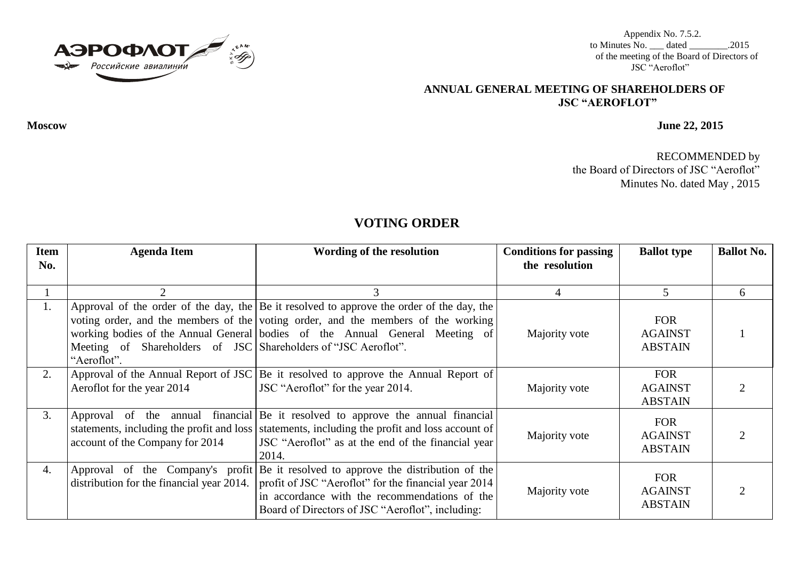

Appendix No. 7.5.2. to Minutes No. \_\_\_ dated \_\_\_\_\_\_\_\_.2015 of the meeting of the Board of Directors of JSC "Aeroflot"

## **ANNUAL GENERAL MEETING OF SHAREHOLDERS OF JSC "AEROFLOT"**

**Moscow June 22, 2015**

RECOMMENDED by the Board of Directors of JSC "Aeroflot" Minutes No. dated May , 2015

## **VOTING ORDER**

| <b>Item</b><br>No. | <b>Agenda Item</b>                                                            | Wording of the resolution                                                                                                                                                                                                                                      | <b>Conditions for passing</b><br>the resolution | <b>Ballot type</b>                             | <b>Ballot No.</b> |
|--------------------|-------------------------------------------------------------------------------|----------------------------------------------------------------------------------------------------------------------------------------------------------------------------------------------------------------------------------------------------------------|-------------------------------------------------|------------------------------------------------|-------------------|
|                    |                                                                               |                                                                                                                                                                                                                                                                | 4                                               |                                                | 6                 |
| Ι.                 | Meeting of Shareholders of JSC Shareholders of "JSC Aeroflot".<br>"Aeroflot". | Approval of the order of the day, the Be it resolved to approve the order of the day, the<br>voting order, and the members of the voting order, and the members of the working<br>working bodies of the Annual General bodies of the Annual General Meeting of | Majority vote                                   | <b>FOR</b><br><b>AGAINST</b><br><b>ABSTAIN</b> |                   |
| 2.                 | Aeroflot for the year 2014                                                    | Approval of the Annual Report of JSC Be it resolved to approve the Annual Report of<br>JSC "Aeroflot" for the year 2014.                                                                                                                                       | Majority vote                                   | <b>FOR</b><br><b>AGAINST</b><br><b>ABSTAIN</b> |                   |
| 3.                 | account of the Company for 2014                                               | Approval of the annual financial Be it resolved to approve the annual financial<br>statements, including the profit and loss statements, including the profit and loss account of<br>JSC "Aeroflot" as at the end of the financial year<br>2014.               | Majority vote                                   | <b>FOR</b><br><b>AGAINST</b><br><b>ABSTAIN</b> |                   |
| 4.                 | distribution for the financial year 2014.                                     | Approval of the Company's profit Be it resolved to approve the distribution of the<br>profit of JSC "Aeroflot" for the financial year 2014<br>in accordance with the recommendations of the<br>Board of Directors of JSC "Aeroflot", including:                | Majority vote                                   | <b>FOR</b><br><b>AGAINST</b><br><b>ABSTAIN</b> |                   |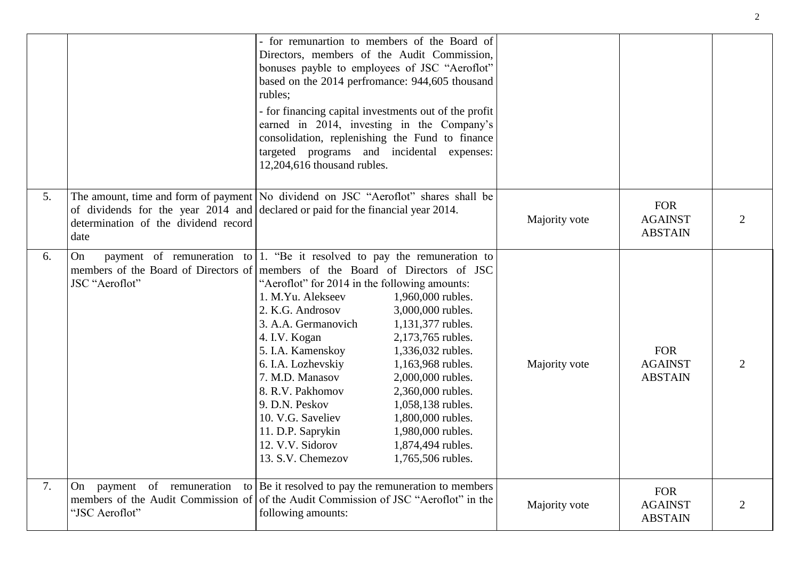|    |                                                                                                                                                                                                                          | - for remunartion to members of the Board of<br>Directors, members of the Audit Commission,<br>bonuses payble to employees of JSC "Aeroflot"<br>rubles;<br>targeted programs and incidental expenses:<br>12,204,616 thousand rubles.                                                                                  | based on the 2014 perfromance: 944,605 thousand<br>- for financing capital investments out of the profit<br>earned in 2014, investing in the Company's<br>consolidation, replenishing the Fund to finance                                                                     |               |                                                |  |
|----|--------------------------------------------------------------------------------------------------------------------------------------------------------------------------------------------------------------------------|-----------------------------------------------------------------------------------------------------------------------------------------------------------------------------------------------------------------------------------------------------------------------------------------------------------------------|-------------------------------------------------------------------------------------------------------------------------------------------------------------------------------------------------------------------------------------------------------------------------------|---------------|------------------------------------------------|--|
| 5. | The amount, time and form of payment No dividend on JSC "Aeroflot" shares shall be<br>of dividends for the year $2014$ and declared or paid for the financial year 2014.<br>determination of the dividend record<br>date |                                                                                                                                                                                                                                                                                                                       |                                                                                                                                                                                                                                                                               | Majority vote | <b>FOR</b><br><b>AGAINST</b><br><b>ABSTAIN</b> |  |
| 6. | payment of remuneration to 1. "Be it resolved to pay the remuneration to<br>On<br>members of the Board of Directors of   members of the Board of Directors of JSC<br>JSC "Aeroflot"                                      | "Aeroflot" for 2014 in the following amounts:<br>1. M.Yu. Alekseev<br>2. K.G. Androsov<br>3. A.A. Germanovich<br>4. I.V. Kogan<br>5. I.A. Kamenskoy<br>6. I.A. Lozhevskiy<br>7. M.D. Manasov<br>8. R.V. Pakhomov<br>9. D.N. Peskov<br>10. V.G. Saveliev<br>11. D.P. Saprykin<br>12. V.V. Sidorov<br>13. S.V. Chemezov | 1,960,000 rubles.<br>3,000,000 rubles.<br>1,131,377 rubles.<br>2,173,765 rubles.<br>1,336,032 rubles.<br>1,163,968 rubles.<br>2,000,000 rubles.<br>2,360,000 rubles.<br>1,058,138 rubles.<br>1,800,000 rubles.<br>1,980,000 rubles.<br>1,874,494 rubles.<br>1,765,506 rubles. | Majority vote | <b>FOR</b><br><b>AGAINST</b><br><b>ABSTAIN</b> |  |
| 7. | On payment of remuneration<br>members of the Audit Commission of<br>"JSC Aeroflot"                                                                                                                                       | to Be it resolved to pay the remuneration to members<br>of the Audit Commission of JSC "Aeroflot" in the<br>following amounts:                                                                                                                                                                                        |                                                                                                                                                                                                                                                                               | Majority vote | <b>FOR</b><br><b>AGAINST</b><br><b>ABSTAIN</b> |  |

2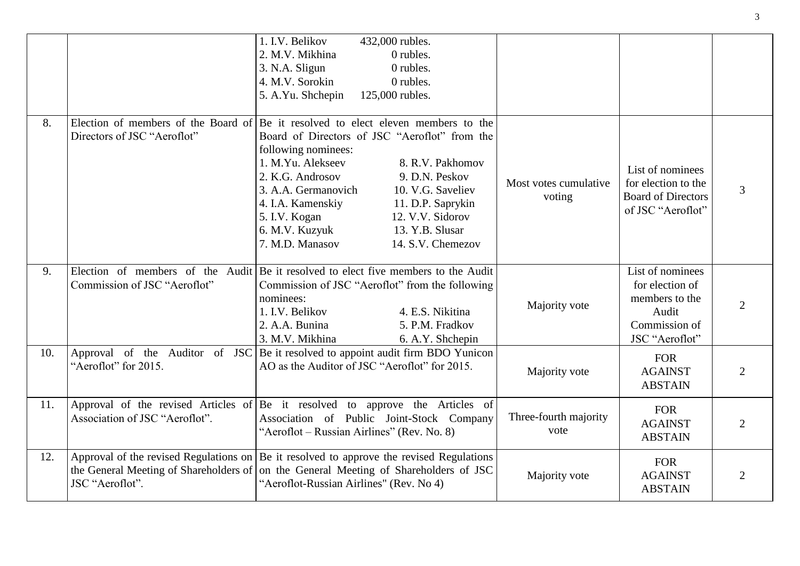|     |                                                                    | 1. I.V. Belikov<br>432,000 rubles.<br>2. M.V. Mikhina<br>0 rubles.<br>0 rubles.<br>3. N.A. Sligun<br>4. M.V. Sorokin<br>0 rubles.<br>5. A.Yu. Shchepin<br>125,000 rubles.                                                                                                                                                                                                                                    |                                 |                                                                                                   |                |
|-----|--------------------------------------------------------------------|--------------------------------------------------------------------------------------------------------------------------------------------------------------------------------------------------------------------------------------------------------------------------------------------------------------------------------------------------------------------------------------------------------------|---------------------------------|---------------------------------------------------------------------------------------------------|----------------|
| 8.  | Election of members of the Board of<br>Directors of JSC "Aeroflot" | Be it resolved to elect eleven members to the<br>Board of Directors of JSC "Aeroflot" from the<br>following nominees:<br>1. M.Yu. Alekseev<br>8. R.V. Pakhomov<br>2. K.G. Androsov<br>9. D.N. Peskov<br>3. A.A. Germanovich<br>10. V.G. Saveliev<br>4. I.A. Kamenskiy<br>11. D.P. Saprykin<br>5. I.V. Kogan<br>12. V.V. Sidorov<br>13. Y.B. Slusar<br>6. M.V. Kuzyuk<br>7. M.D. Manasov<br>14. S.V. Chemezov | Most votes cumulative<br>voting | List of nominees<br>for election to the<br><b>Board of Directors</b><br>of JSC "Aeroflot"         | 3              |
| 9.  | Commission of JSC "Aeroflot"                                       | Election of members of the Audit Be it resolved to elect five members to the Audit<br>Commission of JSC "Aeroflot" from the following<br>nominees:<br>4. E.S. Nikitina<br>1. I.V. Belikov<br>2. A.A. Bunina<br>5. P.M. Fradkov<br>3. M.V. Mikhina<br>6. A.Y. Shchepin                                                                                                                                        | Majority vote                   | List of nominees<br>for election of<br>members to the<br>Audit<br>Commission of<br>JSC "Aeroflot" | $\overline{2}$ |
| 10. | "Aeroflot" for 2015.                                               | Approval of the Auditor of JSC Be it resolved to appoint audit firm BDO Yunicon<br>AO as the Auditor of JSC "Aeroflot" for 2015.                                                                                                                                                                                                                                                                             | Majority vote                   | <b>FOR</b><br><b>AGAINST</b><br><b>ABSTAIN</b>                                                    | $\overline{2}$ |
| 11. | Association of JSC "Aeroflot".                                     | Approval of the revised Articles of Be it resolved to approve the Articles of<br>Association of Public Joint-Stock Company<br>"Aeroflot – Russian Airlines" (Rev. No. 8)                                                                                                                                                                                                                                     | Three-fourth majority<br>vote   | <b>FOR</b><br><b>AGAINST</b><br><b>ABSTAIN</b>                                                    | $\overline{2}$ |
| 12. | the General Meeting of Shareholders of<br>JSC "Aeroflot".          | Approval of the revised Regulations on $ Be $ it resolved to approve the revised Regulations<br>on the General Meeting of Shareholders of JSC<br>"Aeroflot-Russian Airlines" (Rev. No 4)                                                                                                                                                                                                                     | Majority vote                   | <b>FOR</b><br><b>AGAINST</b><br><b>ABSTAIN</b>                                                    | $\overline{2}$ |

3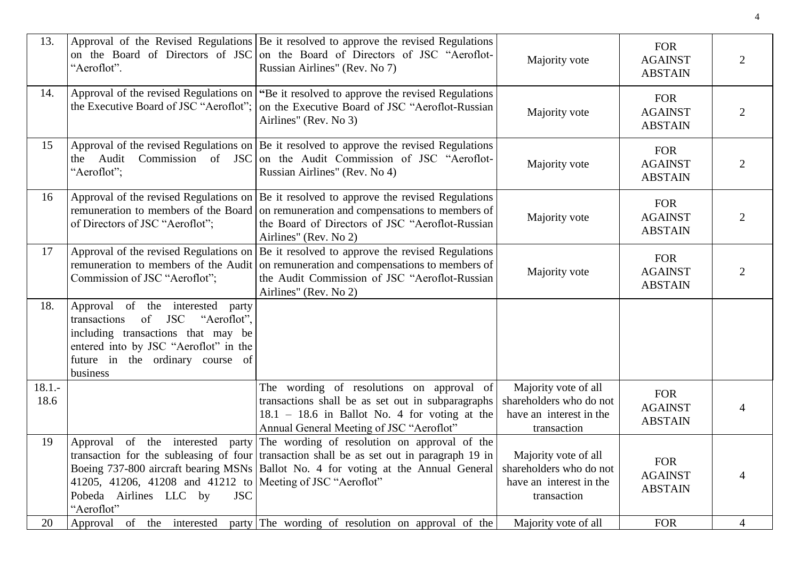| 13.              | "Aeroflot".                                                                                                                                                                                           | Approval of the Revised Regulations Be it resolved to approve the revised Regulations<br>on the Board of Directors of JSC on the Board of Directors of JSC "Aeroflot-<br>Russian Airlines" (Rev. No 7)                                                             | Majority vote                                                                             | <b>FOR</b><br><b>AGAINST</b><br><b>ABSTAIN</b> | 2              |
|------------------|-------------------------------------------------------------------------------------------------------------------------------------------------------------------------------------------------------|--------------------------------------------------------------------------------------------------------------------------------------------------------------------------------------------------------------------------------------------------------------------|-------------------------------------------------------------------------------------------|------------------------------------------------|----------------|
| 14.              | the Executive Board of JSC "Aeroflot";                                                                                                                                                                | Approval of the revised Regulations on $\lvert \text{``Be} \rvert$ it resolved to approve the revised Regulations<br>on the Executive Board of JSC "Aeroflot-Russian<br>Airlines" (Rev. No 3)                                                                      | Majority vote                                                                             | <b>FOR</b><br><b>AGAINST</b><br><b>ABSTAIN</b> | $\overline{2}$ |
| 15               | "Aeroflot";                                                                                                                                                                                           | Approval of the revised Regulations on $ Be $ it resolved to approve the revised Regulations<br>the Audit Commission of JSC on the Audit Commission of JSC "Aeroflot-<br>Russian Airlines" (Rev. No 4)                                                             | Majority vote                                                                             | <b>FOR</b><br><b>AGAINST</b><br><b>ABSTAIN</b> | 2              |
| 16               | of Directors of JSC "Aeroflot";                                                                                                                                                                       | Approval of the revised Regulations on $ Be $ it resolved to approve the revised Regulations<br>remuneration to members of the Board on remuneration and compensations to members of<br>the Board of Directors of JSC "Aeroflot-Russian<br>Airlines" (Rev. No 2)   | Majority vote                                                                             | <b>FOR</b><br><b>AGAINST</b><br><b>ABSTAIN</b> | 2              |
| 17               | Commission of JSC "Aeroflot";                                                                                                                                                                         | Approval of the revised Regulations on $ Be $ it resolved to approve the revised Regulations<br>remuneration to members of the Audit on remuneration and compensations to members of<br>the Audit Commission of JSC "Aeroflot-Russian<br>Airlines" (Rev. No 2)     | Majority vote                                                                             | <b>FOR</b><br><b>AGAINST</b><br><b>ABSTAIN</b> | $\overline{2}$ |
| 18.              | Approval of the interested party<br>transactions of JSC<br>"Aeroflot",<br>including transactions that may be<br>entered into by JSC "Aeroflot" in the<br>future in the ordinary course of<br>business |                                                                                                                                                                                                                                                                    |                                                                                           |                                                |                |
| $18.1 -$<br>18.6 |                                                                                                                                                                                                       | The wording of resolutions on approval of<br>transactions shall be as set out in subparagraphs<br>$18.1 - 18.6$ in Ballot No. 4 for voting at the<br>Annual General Meeting of JSC "Aeroflot"                                                                      | Majority vote of all<br>shareholders who do not<br>have an interest in the<br>transaction | <b>FOR</b><br><b>AGAINST</b><br><b>ABSTAIN</b> |                |
| 19               | 41205, 41206, 41208 and 41212 to   Meeting of JSC "Aeroflot"<br>Pobeda Airlines LLC by<br><b>JSC</b><br>"Aeroflot"                                                                                    | Approval of the interested party The wording of resolution on approval of the<br>transaction for the subleasing of four transaction shall be as set out in paragraph 19 in<br>Boeing 737-800 aircraft bearing MSNs   Ballot No. 4 for voting at the Annual General | Majority vote of all<br>shareholders who do not<br>have an interest in the<br>transaction | <b>FOR</b><br><b>AGAINST</b><br><b>ABSTAIN</b> |                |
| 20               | Approval of the interested                                                                                                                                                                            | party The wording of resolution on approval of the                                                                                                                                                                                                                 | Majority vote of all                                                                      | <b>FOR</b>                                     | $\overline{4}$ |